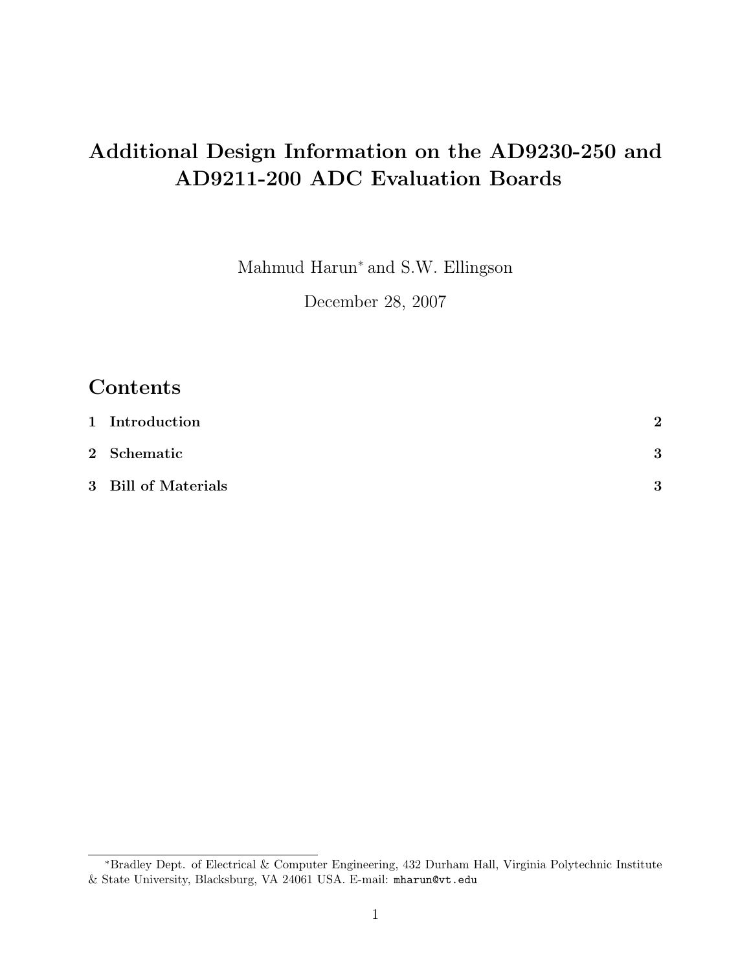# Additional Design Information on the AD9230-250 and AD9211-200 ADC Evaluation Boards

Mahmud Harun<sup>∗</sup> and S.W. Ellingson

December 28, 2007

| Contents |                     |               |  |  |  |  |
|----------|---------------------|---------------|--|--|--|--|
|          | 1 Introduction      | $\mathcal{D}$ |  |  |  |  |
|          | 2 Schematic         | 3             |  |  |  |  |
|          | 3 Bill of Materials | 3             |  |  |  |  |

<sup>∗</sup>Bradley Dept. of Electrical & Computer Engineering, 432 Durham Hall, Virginia Polytechnic Institute & State University, Blacksburg, VA 24061 USA. E-mail: mharun@vt.edu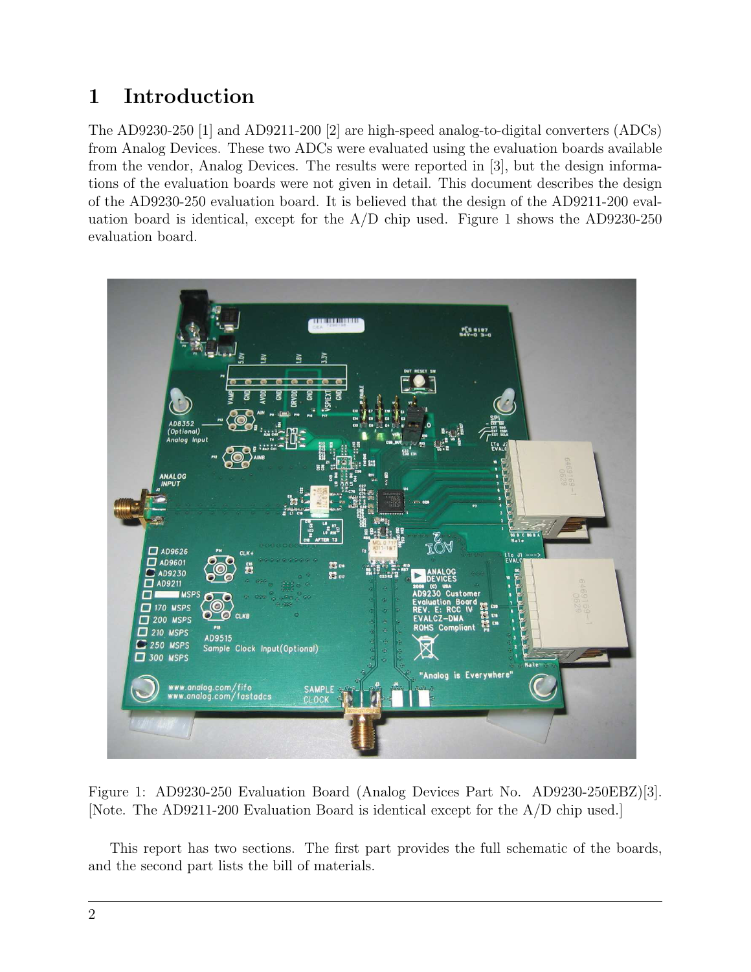# 1 Introduction

The AD9230-250 [1] and AD9211-200 [2] are high-speed analog-to-digital converters (ADCs) from Analog Devices. These two ADCs were evaluated using the evaluation boards available from the vendor, Analog Devices. The results were reported in [3], but the design informations of the evaluation boards were not given in detail. This document describes the design of the AD9230-250 evaluation board. It is believed that the design of the AD9211-200 evaluation board is identical, except for the  $A/D$  chip used. Figure 1 shows the AD9230-250 evaluation board.



Figure 1: AD9230-250 Evaluation Board (Analog Devices Part No. AD9230-250EBZ)[3]. [Note. The AD9211-200 Evaluation Board is identical except for the A/D chip used.]

This report has two sections. The first part provides the full schematic of the boards, and the second part lists the bill of materials.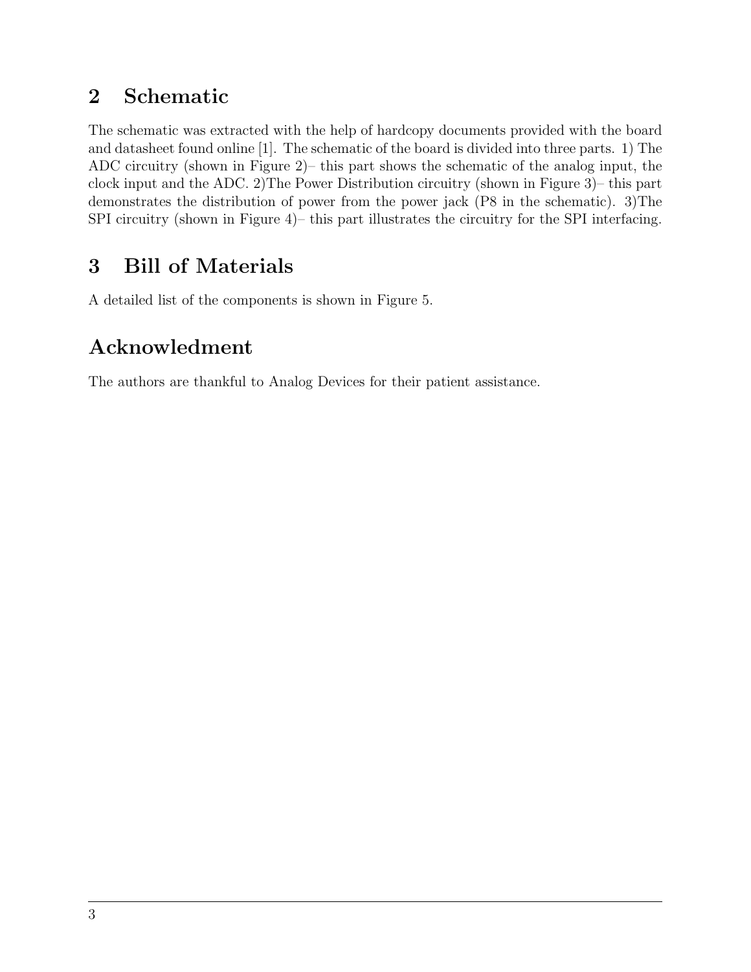#### 2 Schematic

The schematic was extracted with the help of hardcopy documents provided with the board and datasheet found online [1]. The schematic of the board is divided into three parts. 1) The ADC circuitry (shown in Figure 2)– this part shows the schematic of the analog input, the clock input and the ADC. 2)The Power Distribution circuitry (shown in Figure 3)– this part demonstrates the distribution of power from the power jack (P8 in the schematic). 3)The SPI circuitry (shown in Figure 4)– this part illustrates the circuitry for the SPI interfacing.

### 3 Bill of Materials

A detailed list of the components is shown in Figure 5.

### Acknowledment

The authors are thankful to Analog Devices for their patient assistance.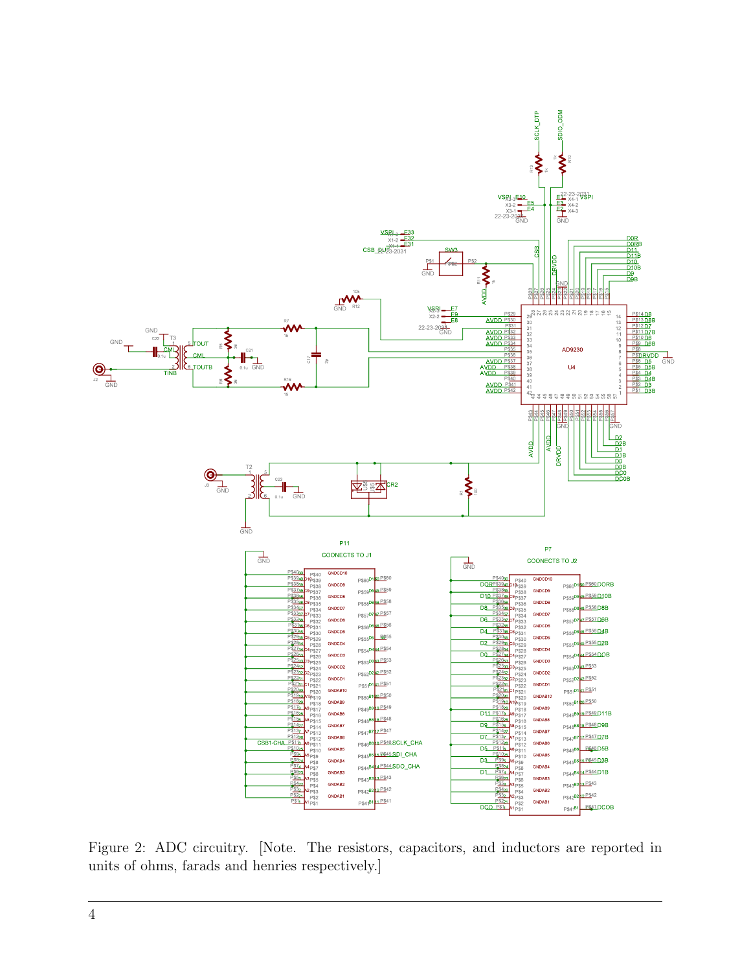

Figure 2: ADC circuitry. [Note. The resistors, capacitors, and inductors are reported in units of ohms, farads and henries respectively.]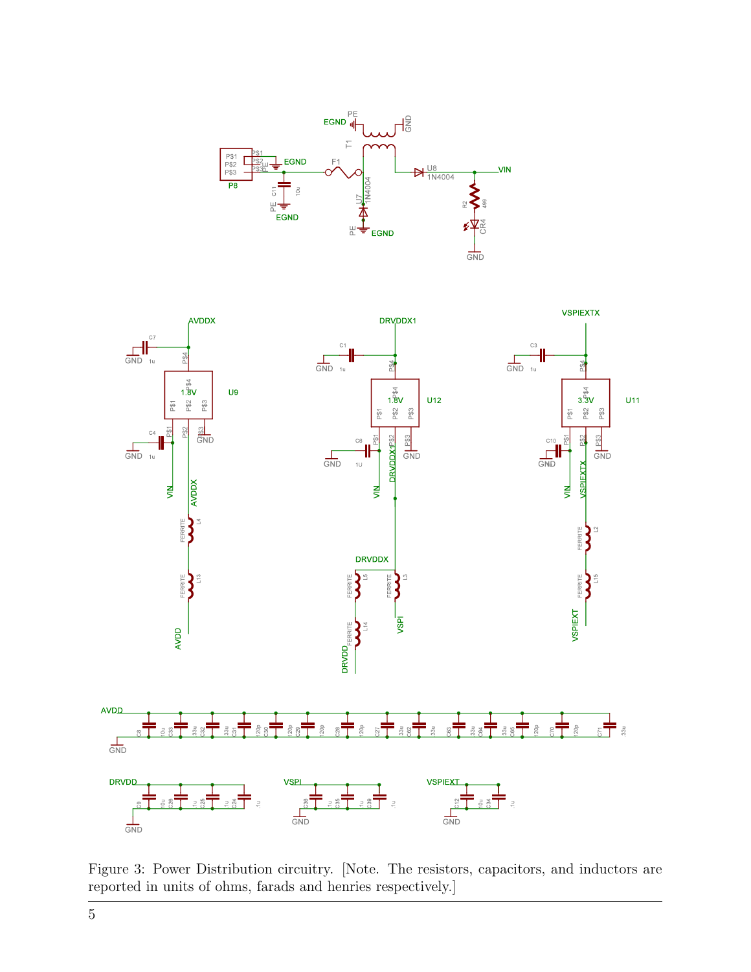



Figure 3: Power Distribution circuitry. [Note. The resistors, capacitors, and inductors are reported in units of ohms, farads and henries respectively.]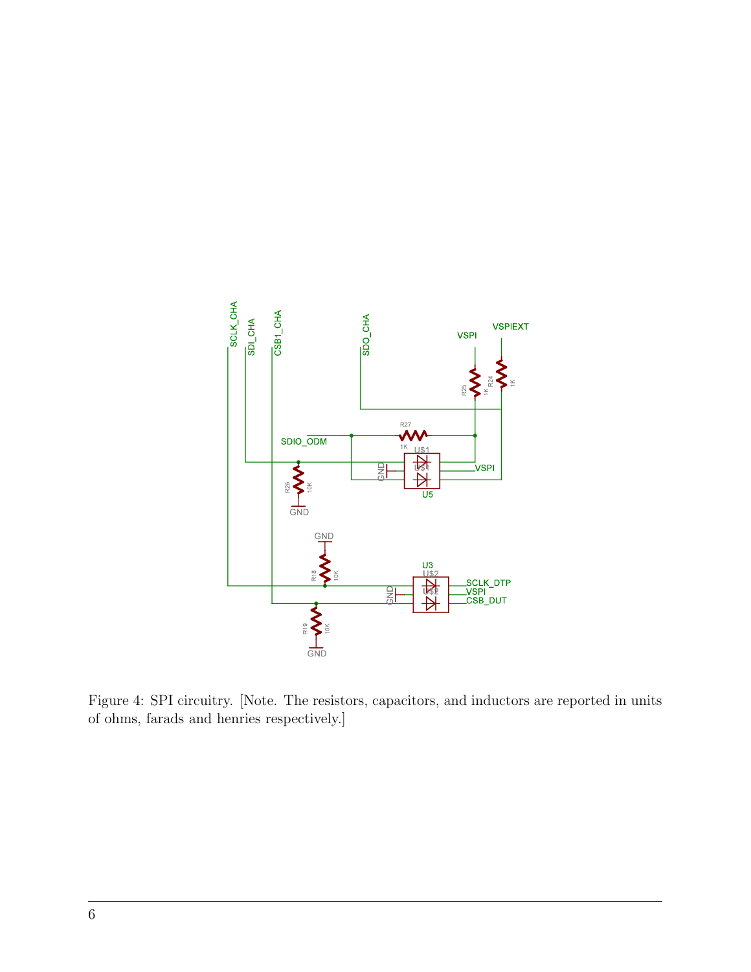

Figure 4: SPI circuitry. [Note. The resistors, capacitors, and inductors are reported in units of ohms, farads and henries respectively.]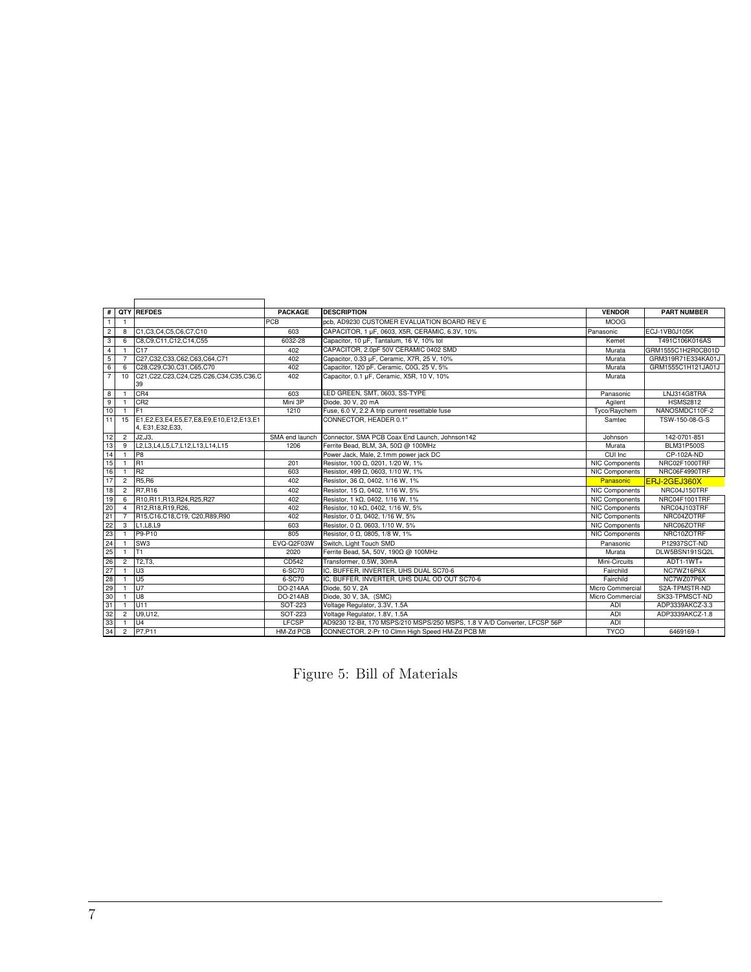| #                       |                | QTY REFDES                                                  | <b>PACKAGE</b> | <b>DESCRIPTION</b>                                                        | <b>VENDOR</b>         | <b>PART NUMBER</b> |
|-------------------------|----------------|-------------------------------------------------------------|----------------|---------------------------------------------------------------------------|-----------------------|--------------------|
| $\overline{1}$          | $\overline{1}$ |                                                             | PCB            | pcb. AD9230 CUSTOMER EVALUATION BOARD REV E                               | <b>MOOG</b>           |                    |
| $\overline{2}$          | 8              | C1,C3,C4,C5,C6,C7,C10                                       | 603            | CAPACITOR, 1 µF, 0603, X5R, CERAMIC, 6.3V, 10%                            | Panasonic             | ECJ-1VB0J105K      |
| 3                       | 6              | C8,C9,C11,C12,C14,C55                                       | 6032-28        | Capacitor, 10 µF, Tantalum, 16 V, 10% tol                                 | Kemet                 | T491C106K016AS     |
| $\overline{4}$          | $\overline{1}$ | C17                                                         | 402            | CAPACITOR, 2.0pF 50V CERAMIC 0402 SMD                                     | Murata                | GRM1555C1H2R0CB01D |
| 5                       | $\overline{7}$ | C27, C32, C33, C62, C63, C64, C71                           | 402            | Capacitor, 0.33 µF, Ceramic, X7R, 25 V, 10%                               | Murata                | GRM319R71E334KA01J |
| 6                       | 6              | C28,C29,C30,C31,C65,C70                                     | 402            | Capacitor, 120 pF, Ceramic, C0G, 25 V, 5%                                 | Murata                | GRM1555C1H121JA01J |
| $\overline{7}$          | 10             | C21,C22,C23,C24,C25.C26,C34,C35,C36,C<br>39                 | 402            | Capacitor, 0.1 µF, Ceramic, X5R, 10 V, 10%                                | Murata                |                    |
| $\overline{\mathbf{8}}$ | $\overline{1}$ | CR <sub>4</sub>                                             | 603            | LED GREEN, SMT, 0603, SS-TYPE                                             | Panasonic             | LNJ314G8TRA        |
| $\overline{9}$          | $\overline{1}$ | CR <sub>2</sub>                                             | Mini 3P        | Diode, 30 V, 20 mA                                                        | Agilent               | <b>HSMS2812</b>    |
| 10                      | $\overline{1}$ | TF1                                                         | 1210           | Fuse, 6.0 V, 2.2 A trip current resettable fuse                           | Tyco/Raychem          | NANOSMDC110F-2     |
| 11                      | 15             | E1.E2.E3.E4.E5.E7.E8.E9.E10.E12.E13.E1<br>4, E31, E32, E33, |                | CONNECTOR, HEADER 0.1"                                                    | Samtec                | TSW-150-08-G-S     |
| 12                      | $\overline{2}$ | J2.J3.                                                      | SMA end launch | Connector, SMA PCB Coax End Launch, Johnson142                            | Johnson               | 142-0701-851       |
| 13                      | - 9            | L2.L3.L4.L5.L7.L12.L13.L14.L15                              | 1206           | Ferrite Bead, BLM, 3A, 50Ω @ 100MHz                                       | Murata                | <b>BLM31P500S</b>  |
| 14                      | $\overline{1}$ | P <sub>8</sub>                                              |                | Power Jack, Male, 2.1mm power jack DC                                     | CUI Inc               | CP-102A-ND         |
| 15                      | $\overline{1}$ | R <sub>1</sub>                                              | 201            | Resistor, 100 Ω, 0201, 1/20 W, 1%                                         | <b>NIC Components</b> | NRC02F1000TRF      |
| 16                      | $\overline{1}$ | R <sub>2</sub>                                              | 603            | Resistor, 499 Ω, 0603, 1/10 W, 1%                                         | NIC Components        | NRC06F4990TRF      |
| 17                      | $\overline{2}$ | R5, R6                                                      | 402            | Resistor, 36 Ω, 0402, 1/16 W, 1%                                          | Panasonic             | ERJ-2GEJ360X       |
| 18                      | $\overline{2}$ | R7.R16                                                      | 402            | Resistor, 15 Ω, 0402, 1/16 W, 5%                                          | <b>NIC Components</b> | NRC04J150TRF       |
| 19                      | 6              | R10.R11.R13.R24.R25.R27                                     | 402            | Resistor, 1 kΩ, 0402, 1/16 W, 1%                                          | NIC Components        | NRC04F1001TRF      |
| 20                      | $\overline{4}$ | R12.R18.R19.R26.                                            | 402            | Resistor, 10 kΩ, 0402, 1/16 W, 5%                                         | NIC Components        | NRC04J103TRF       |
| 21                      | - 7            | R15,C16,C18,C19, C20,R89,R90                                | 402            | Resistor, 0 Ω, 0402, 1/16 W, 5%                                           | <b>NIC Components</b> | NRC04ZOTRF         |
| 22                      | -3             | L1, L8, L9                                                  | 603            | Resistor, 0 Ω, 0603, 1/10 W, 5%                                           | <b>NIC Components</b> | NRC06ZOTRF         |
| 23                      | $\overline{1}$ | P9-P10                                                      | 805            | Resistor, 0 Ω, 0805, 1/8 W, 1%                                            | NIC Components        | NRC10ZOTRF         |
| 24                      | $\overline{1}$ | SW <sub>3</sub>                                             | EVQ-Q2F03W     | Switch, Light Touch SMD                                                   | Panasonic             | P12937SCT-ND       |
| 25                      | $\overline{1}$ | T <sub>1</sub>                                              | 2020           | Ferrite Bead, 5A, 50V, 190Ω @ 100MHz                                      | Murata                | DLW5BSN191SQ2L     |
| 26                      | $\overline{2}$ | T2, T3,                                                     | CD542          | Transformer, 0.5W, 30mA                                                   | Mini-Circuits         | ADT1-1WT+          |
| 27                      | $\overline{1}$ | U <sub>3</sub>                                              | 6-SC70         | IC, BUFFER, INVERTER, UHS DUAL SC70-6                                     | Fairchild             | NC7WZ16P6X         |
| 28                      | $\overline{1}$ | U <sub>5</sub>                                              | 6-SC70         | IC. BUFFER. INVERTER. UHS DUAL OD OUT SC70-6                              | Fairchild             | NC7WZ07P6X         |
| 29                      | $\overline{1}$ | U7                                                          | DO-214AA       | Diode, 50 V, 2A                                                           | Micro Commercial      | S2A-TPMSTR-ND      |
| 30                      | $\overline{1}$ | U <sub>8</sub>                                              | DO-214AB       | Diode, 30 V, 3A, (SMC)                                                    | Micro Commercial      | SK33-TPMSCT-ND     |
| 31                      | $\overline{1}$ | U11                                                         | SOT-223        | Voltage Regulator, 3.3V, 1.5A                                             | ADI                   | ADP3339AKCZ-3.3    |
| 32                      | $\overline{2}$ | U9, U12,                                                    | <b>SOT-223</b> | Voltage Regulator, 1.8V, 1.5A                                             | ADI                   | ADP3339AKCZ-1.8    |
| 33                      | $\overline{1}$ | U <sub>4</sub>                                              | LFCSP          | AD9230 12-Bit, 170 MSPS/210 MSPS/250 MSPS, 1.8 V A/D Converter, LFCSP 56P | ADI                   |                    |
| 34                      | $\overline{2}$ | P7, P11                                                     | HM-Zd PCB      | CONNECTOR, 2-Pr 10 Clmn High Speed HM-Zd PCB Mt                           | <b>TYCO</b>           | 6469169-1          |

Figure 5: Bill of Materials